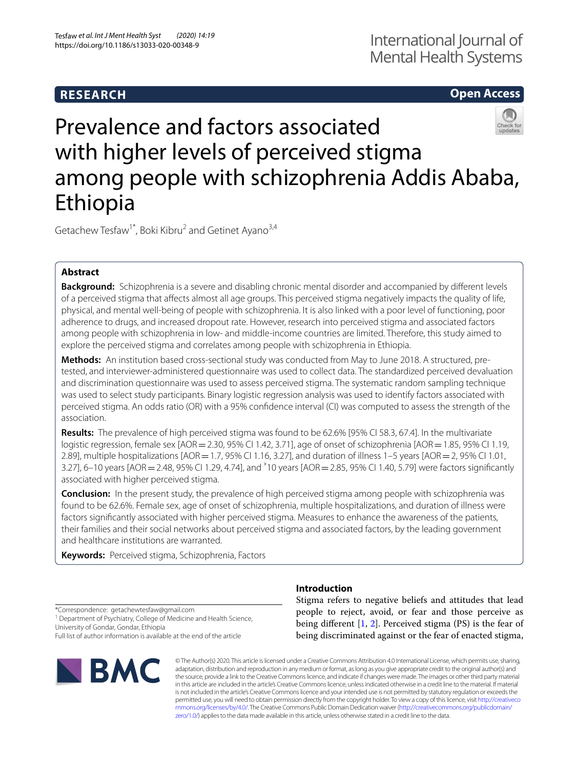# **RESEARCH**

# **Open Access**

# Prevalence and factors associated with higher levels of perceived stigma among people with schizophrenia Addis Ababa, Ethiopia

Getachew Tesfaw<sup>1\*</sup>, Boki Kibru<sup>2</sup> and Getinet Ayano<sup>3,4</sup>

## **Abstract**

**Background:** Schizophrenia is a severe and disabling chronic mental disorder and accompanied by diferent levels of a perceived stigma that afects almost all age groups. This perceived stigma negatively impacts the quality of life, physical, and mental well-being of people with schizophrenia. It is also linked with a poor level of functioning, poor adherence to drugs, and increased dropout rate. However, research into perceived stigma and associated factors among people with schizophrenia in low- and middle-income countries are limited. Therefore, this study aimed to explore the perceived stigma and correlates among people with schizophrenia in Ethiopia.

**Methods:** An institution based cross-sectional study was conducted from May to June 2018. A structured, pretested, and interviewer-administered questionnaire was used to collect data. The standardized perceived devaluation and discrimination questionnaire was used to assess perceived stigma. The systematic random sampling technique was used to select study participants. Binary logistic regression analysis was used to identify factors associated with perceived stigma. An odds ratio (OR) with a 95% confdence interval (CI) was computed to assess the strength of the association.

**Results:** The prevalence of high perceived stigma was found to be 62.6% [95% CI 58.3, 67.4]. In the multivariate logistic regression, female sex [AOR = 2.30, 95% CI 1.42, 3.71], age of onset of schizophrenia [AOR = 1.85, 95% CI 1.19, 2.89], multiple hospitalizations  $[AOR=1.7, 95\%$  CI 1.16, 3.27], and duration of illness 1–5 years  $[AOR=2, 95\%$  CI 1.01, 3.27], 6–10 years [AOR = 2.48, 95% CI 1.29, 4.74], and `10 years [AOR = 2.85, 95% CI 1.40, 5.79] were factors significantly associated with higher perceived stigma.

**Conclusion:** In the present study, the prevalence of high perceived stigma among people with schizophrenia was found to be 62.6%. Female sex, age of onset of schizophrenia, multiple hospitalizations, and duration of illness were factors signifcantly associated with higher perceived stigma. Measures to enhance the awareness of the patients, their families and their social networks about perceived stigma and associated factors, by the leading government and healthcare institutions are warranted.

**Keywords:** Perceived stigma, Schizophrenia, Factors

**Introduction**

Stigma refers to negative beliefs and attitudes that lead people to reject, avoid, or fear and those perceive as being different  $[1, 2]$  $[1, 2]$  $[1, 2]$  $[1, 2]$ . Perceived stigma  $(PS)$  is the fear of being discriminated against or the fear of enacted stigma,

© The Author(s) 2020. This article is licensed under a Creative Commons Attribution 4.0 International License, which permits use, sharing, adaptation, distribution and reproduction in any medium or format, as long as you give appropriate credit to the original author(s) and the source, provide a link to the Creative Commons licence, and indicate if changes were made. The images or other third party material in this article are included in the article's Creative Commons licence, unless indicated otherwise in a credit line to the material. If material is not included in the article's Creative Commons licence and your intended use is not permitted by statutory regulation or exceeds the permitted use, you will need to obtain permission directly from the copyright holder. To view a copy of this licence, visit [http://creativeco](http://creativecommons.org/licenses/by/4.0/) [mmons.org/licenses/by/4.0/.](http://creativecommons.org/licenses/by/4.0/) The Creative Commons Public Domain Dedication waiver ([http://creativecommons.org/publicdomain/](http://creativecommons.org/publicdomain/zero/1.0/) [zero/1.0/\)](http://creativecommons.org/publicdomain/zero/1.0/) applies to the data made available in this article, unless otherwise stated in a credit line to the data.

\*Correspondence: getachewtesfaw@gmail.com <sup>1</sup> Department of Psychiatry, College of Medicine and Health Science,

University of Gondar, Gondar, Ethiopia Full list of author information is available at the end of the article

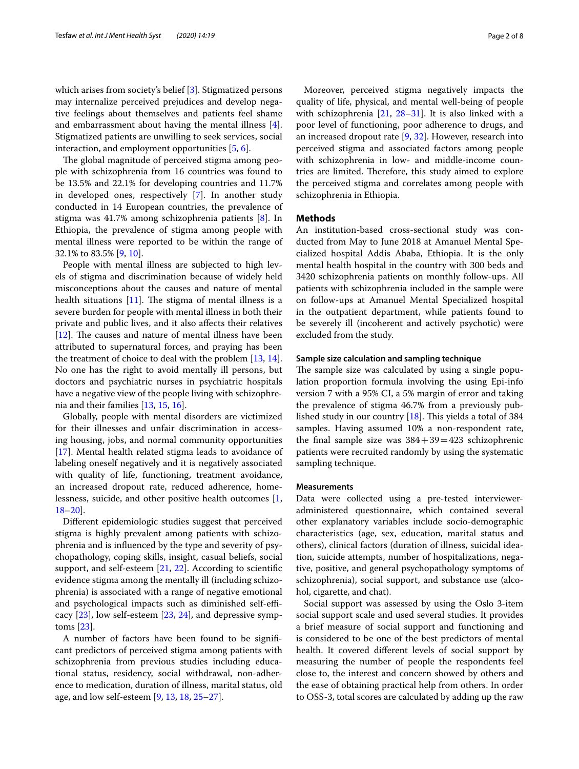which arises from society's belief [\[3](#page-6-2)]. Stigmatized persons may internalize perceived prejudices and develop negative feelings about themselves and patients feel shame and embarrassment about having the mental illness [\[4](#page-6-3)]. Stigmatized patients are unwilling to seek services, social interaction, and employment opportunities [\[5](#page-6-4), [6\]](#page-6-5).

The global magnitude of perceived stigma among people with schizophrenia from 16 countries was found to be 13.5% and 22.1% for developing countries and 11.7% in developed ones, respectively [\[7](#page-6-6)]. In another study conducted in 14 European countries, the prevalence of stigma was 41.7% among schizophrenia patients [[8](#page-6-7)]. In Ethiopia, the prevalence of stigma among people with mental illness were reported to be within the range of 32.1% to 83.5% [[9,](#page-6-8) [10](#page-6-9)].

People with mental illness are subjected to high levels of stigma and discrimination because of widely held misconceptions about the causes and nature of mental health situations  $[11]$  $[11]$ . The stigma of mental illness is a severe burden for people with mental illness in both their private and public lives, and it also afects their relatives [[12\]](#page-6-11). The causes and nature of mental illness have been attributed to supernatural forces, and praying has been the treatment of choice to deal with the problem [[13,](#page-6-12) [14](#page-6-13)]. No one has the right to avoid mentally ill persons, but doctors and psychiatric nurses in psychiatric hospitals have a negative view of the people living with schizophrenia and their families [\[13,](#page-6-12) [15](#page-6-14), [16\]](#page-6-15).

Globally, people with mental disorders are victimized for their illnesses and unfair discrimination in accessing housing, jobs, and normal community opportunities [[17\]](#page-6-16). Mental health related stigma leads to avoidance of labeling oneself negatively and it is negatively associated with quality of life, functioning, treatment avoidance, an increased dropout rate, reduced adherence, homelessness, suicide, and other positive health outcomes [\[1](#page-6-0), [18–](#page-6-17)[20](#page-6-18)].

Diferent epidemiologic studies suggest that perceived stigma is highly prevalent among patients with schizophrenia and is infuenced by the type and severity of psychopathology, coping skills, insight, casual beliefs, social support, and self-esteem  $[21, 22]$  $[21, 22]$  $[21, 22]$  $[21, 22]$ . According to scientific evidence stigma among the mentally ill (including schizophrenia) is associated with a range of negative emotional and psychological impacts such as diminished self-efficacy [[23\]](#page-7-2), low self-esteem [[23,](#page-7-2) [24](#page-7-3)], and depressive symptoms [[23](#page-7-2)].

A number of factors have been found to be signifcant predictors of perceived stigma among patients with schizophrenia from previous studies including educational status, residency, social withdrawal, non-adherence to medication, duration of illness, marital status, old age, and low self-esteem [[9,](#page-6-8) [13](#page-6-12), [18,](#page-6-17) [25](#page-7-4)–[27\]](#page-7-5).

Moreover, perceived stigma negatively impacts the quality of life, physical, and mental well-being of people with schizophrenia [\[21](#page-7-0), [28](#page-7-6)[–31\]](#page-7-7). It is also linked with a poor level of functioning, poor adherence to drugs, and an increased dropout rate [\[9](#page-6-8), [32\]](#page-7-8). However, research into perceived stigma and associated factors among people with schizophrenia in low- and middle-income countries are limited. Therefore, this study aimed to explore the perceived stigma and correlates among people with schizophrenia in Ethiopia.

## **Methods**

An institution-based cross-sectional study was conducted from May to June 2018 at Amanuel Mental Specialized hospital Addis Ababa, Ethiopia. It is the only mental health hospital in the country with 300 beds and 3420 schizophrenia patients on monthly follow-ups. All patients with schizophrenia included in the sample were on follow-ups at Amanuel Mental Specialized hospital in the outpatient department, while patients found to be severely ill (incoherent and actively psychotic) were excluded from the study.

## **Sample size calculation and sampling technique**

The sample size was calculated by using a single population proportion formula involving the using Epi-info version 7 with a 95% CI, a 5% margin of error and taking the prevalence of stigma 46.7% from a previously published study in our country  $[18]$  $[18]$ . This yields a total of 384 samples. Having assumed 10% a non-respondent rate, the final sample size was  $384+39=423$  schizophrenic patients were recruited randomly by using the systematic sampling technique.

## **Measurements**

Data were collected using a pre-tested intervieweradministered questionnaire, which contained several other explanatory variables include socio-demographic characteristics (age, sex, education, marital status and others), clinical factors (duration of illness, suicidal ideation, suicide attempts, number of hospitalizations, negative, positive, and general psychopathology symptoms of schizophrenia), social support, and substance use (alcohol, cigarette, and chat).

Social support was assessed by using the Oslo 3-item social support scale and used several studies. It provides a brief measure of social support and functioning and is considered to be one of the best predictors of mental health. It covered diferent levels of social support by measuring the number of people the respondents feel close to, the interest and concern showed by others and the ease of obtaining practical help from others. In order to OSS-3, total scores are calculated by adding up the raw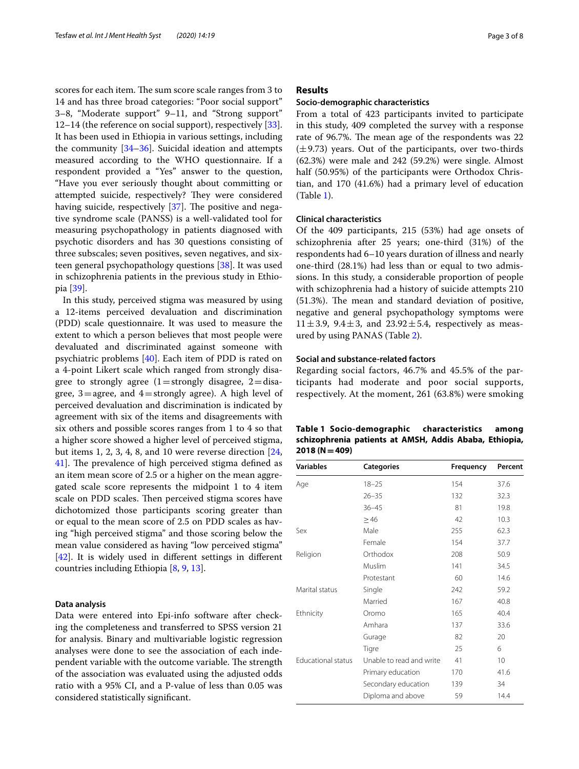scores for each item. The sum score scale ranges from 3 to 14 and has three broad categories: "Poor social support" 3–8, "Moderate support" 9–11, and "Strong support" 12–14 (the reference on social support), respectively [\[33](#page-7-9)]. It has been used in Ethiopia in various settings, including the community [[34](#page-7-10)[–36](#page-7-11)]. Suicidal ideation and attempts measured according to the WHO questionnaire. If a respondent provided a "Yes" answer to the question, "Have you ever seriously thought about committing or attempted suicide, respectively? They were considered having suicide, respectively  $[37]$  $[37]$ . The positive and negative syndrome scale (PANSS) is a well-validated tool for measuring psychopathology in patients diagnosed with psychotic disorders and has 30 questions consisting of three subscales; seven positives, seven negatives, and sixteen general psychopathology questions [\[38](#page-7-13)]. It was used in schizophrenia patients in the previous study in Ethiopia [[39](#page-7-14)].

In this study, perceived stigma was measured by using a 12-items perceived devaluation and discrimination (PDD) scale questionnaire. It was used to measure the extent to which a person believes that most people were devaluated and discriminated against someone with psychiatric problems [\[40\]](#page-7-15). Each item of PDD is rated on a 4-point Likert scale which ranged from strongly disagree to strongly agree  $(1=$ strongly disagree,  $2=$ disagree,  $3 =$ agree, and  $4 =$ strongly agree). A high level of perceived devaluation and discrimination is indicated by agreement with six of the items and disagreements with six others and possible scores ranges from 1 to 4 so that a higher score showed a higher level of perceived stigma, but items 1, 2, 3, 4, 8, and 10 were reverse direction [\[24](#page-7-3), [41\]](#page-7-16). The prevalence of high perceived stigma defined as an item mean score of 2.5 or a higher on the mean aggregated scale score represents the midpoint 1 to 4 item scale on PDD scales. Then perceived stigma scores have dichotomized those participants scoring greater than or equal to the mean score of 2.5 on PDD scales as having "high perceived stigma" and those scoring below the mean value considered as having "low perceived stigma" [[42\]](#page-7-17). It is widely used in diferent settings in diferent countries including Ethiopia [[8,](#page-6-7) [9,](#page-6-8) [13](#page-6-12)].

### **Data analysis**

Data were entered into Epi-info software after checking the completeness and transferred to SPSS version 21 for analysis. Binary and multivariable logistic regression analyses were done to see the association of each independent variable with the outcome variable. The strength of the association was evaluated using the adjusted odds ratio with a 95% CI, and a P-value of less than 0.05 was considered statistically signifcant.

## **Results**

## **Socio‑demographic characteristics**

From a total of 423 participants invited to participate in this study, 409 completed the survey with a response rate of 96.7%. The mean age of the respondents was 22  $(\pm 9.73)$  years. Out of the participants, over two-thirds (62.3%) were male and 242 (59.2%) were single. Almost half (50.95%) of the participants were Orthodox Christian, and 170 (41.6%) had a primary level of education (Table [1\)](#page-2-0).

### **Clinical characteristics**

Of the 409 participants, 215 (53%) had age onsets of schizophrenia after 25 years; one-third (31%) of the respondents had 6–10 years duration of illness and nearly one-third (28.1%) had less than or equal to two admissions. In this study, a considerable proportion of people with schizophrenia had a history of suicide attempts 210  $(51.3%)$ . The mean and standard deviation of positive, negative and general psychopathology symptoms were  $11\pm3.9$ ,  $9.4\pm3$ , and  $23.92\pm5.4$ , respectively as measured by using PANAS (Table [2\)](#page-3-0).

## **Social and substance‑related factors**

Regarding social factors, 46.7% and 45.5% of the participants had moderate and poor social supports, respectively. At the moment, 261 (63.8%) were smoking

<span id="page-2-0"></span>

| Table 1 Socio-demographic characteristics among        |  |  |  |
|--------------------------------------------------------|--|--|--|
| schizophrenia patients at AMSH, Addis Ababa, Ethiopia, |  |  |  |
| $2018 (N = 409)$                                       |  |  |  |

| <b>Variables</b>          | <b>Categories</b>        | Frequency | Percent |
|---------------------------|--------------------------|-----------|---------|
| Age                       | $18 - 25$                | 154       | 37.6    |
|                           | $26 - 35$                | 132       | 32.3    |
|                           | $36 - 45$                | 81        | 19.8    |
|                           | >46                      | 42        | 10.3    |
| Sex                       | Male                     | 255       | 62.3    |
|                           | Female                   | 154       | 37.7    |
| Religion                  | Orthodox                 | 208       | 50.9    |
|                           | Muslim                   | 141       | 34.5    |
|                           | Protestant               | 60        | 14.6    |
| Marital status            | Single                   | 242       | 59.2    |
|                           | Married                  | 167       | 40.8    |
| Ethnicity                 | Oromo                    | 165       | 40.4    |
|                           | Amhara                   | 137       | 33.6    |
|                           | Gurage                   | 82        | 20      |
|                           | Tigre                    | 25        | 6       |
| <b>Educational status</b> | Unable to read and write | 41        | 10      |
|                           | Primary education        | 170       | 41.6    |
|                           | Secondary education      | 139       | 34      |
|                           | Diploma and above        | 59        | 14.4    |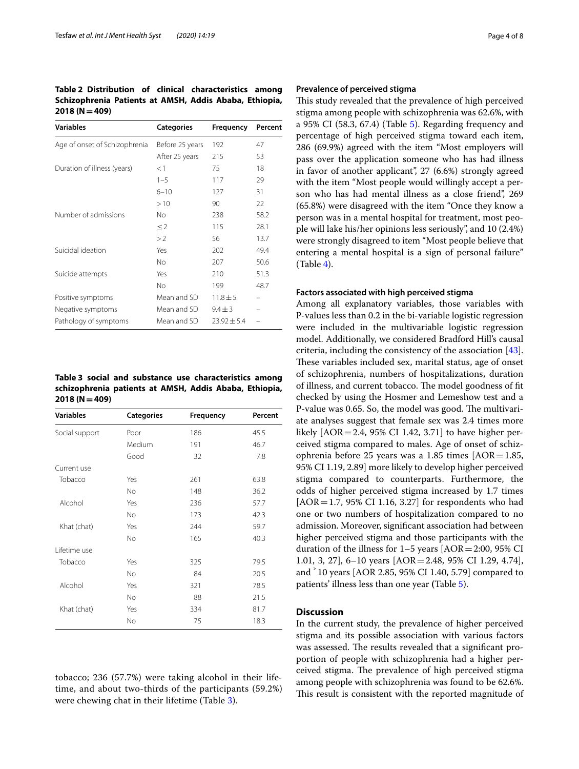<span id="page-3-0"></span>**Table 2 Distribution of clinical characteristics among Schizophrenia Patients at AMSH, Addis Ababa, Ethiopia, 2018 (N=409)**

| <b>Variables</b>              | <b>Categories</b> | Frequency       | Percent |
|-------------------------------|-------------------|-----------------|---------|
| Age of onset of Schizophrenia | Before 25 years   | 192             | 47      |
|                               | After 25 years    | 215             | 53      |
| Duration of illness (years)   | < 1               | 75              | 18      |
|                               | $1 - 5$           | 117             | 29      |
|                               | $6 - 10$          | 127             | 31      |
|                               | >10               | 90              | 22      |
| Number of admissions          | No.               | 238             | 58.2    |
|                               | $\leq$ 2          | 115             | 28.1    |
|                               | >2                | 56              | 13.7    |
| Suicidal ideation             | Yes               | 202             | 49.4    |
|                               | No                | 207             | 50.6    |
| Suicide attempts              | Yes               | 210             | 51.3    |
|                               | No                | 199             | 48.7    |
| Positive symptoms             | Mean and SD       | $11.8 \pm 5$    |         |
| Negative symptoms             | Mean and SD       | $9.4 \pm 3$     |         |
| Pathology of symptoms         | Mean and SD       | $23.92 \pm 5.4$ |         |

<span id="page-3-1"></span>**Table 3 social and substance use characteristics among schizophrenia patients at AMSH, Addis Ababa, Ethiopia, 2018 (N=409)**

| <b>Variables</b> | <b>Categories</b> | Frequency | Percent |
|------------------|-------------------|-----------|---------|
| Social support   | Poor              | 186       | 45.5    |
|                  | Medium            | 191       | 46.7    |
|                  | Good              | 32        | 7.8     |
| Current use      |                   |           |         |
| Tobacco          | Yes               | 261       | 63.8    |
|                  | No                | 148       | 36.2    |
| Alcohol          | Yes               | 236       | 57.7    |
|                  | No                | 173       | 42.3    |
| Khat (chat)      | Yes               | 244       | 59.7    |
|                  | No                | 165       | 40.3    |
| Lifetime use     |                   |           |         |
| Tobacco          | Yes               | 325       | 79.5    |
|                  | No                | 84        | 20.5    |
| Alcohol          | Yes               | 321       | 78.5    |
|                  | No                | 88        | 21.5    |
| Khat (chat)      | Yes               | 334       | 81.7    |
|                  | No                | 75        | 18.3    |
|                  |                   |           |         |

tobacco; 236 (57.7%) were taking alcohol in their lifetime, and about two-thirds of the participants (59.2%) were chewing chat in their lifetime (Table [3](#page-3-1)).

## **Prevalence of perceived stigma**

This study revealed that the prevalence of high perceived stigma among people with schizophrenia was 62.6%, with a 95% CI (58.3, 67.4) (Table [5\)](#page-4-0). Regarding frequency and percentage of high perceived stigma toward each item, 286 (69.9%) agreed with the item "Most employers will pass over the application someone who has had illness in favor of another applicant", 27 (6.6%) strongly agreed with the item "Most people would willingly accept a person who has had mental illness as a close friend", 269 (65.8%) were disagreed with the item "Once they know a person was in a mental hospital for treatment, most people will lake his/her opinions less seriously", and 10 (2.4%) were strongly disagreed to item "Most people believe that entering a mental hospital is a sign of personal failure"  $(Table 4)$  $(Table 4)$ .

## **Factors associated with high perceived stigma**

Among all explanatory variables, those variables with P-values less than 0.2 in the bi-variable logistic regression were included in the multivariable logistic regression model. Additionally, we considered Bradford Hill's causal criteria, including the consistency of the association [\[43](#page-7-18)]. These variables included sex, marital status, age of onset of schizophrenia, numbers of hospitalizations, duration of illness, and current tobacco. The model goodness of fit checked by using the Hosmer and Lemeshow test and a P-value was 0.65. So, the model was good. The multivariate analyses suggest that female sex was 2.4 times more likely  $[AOR = 2.4, 95\% \text{ CI } 1.42, 3.71]$  to have higher perceived stigma compared to males. Age of onset of schizophrenia before 25 years was a 1.85 times  $[AOR=1.85,$ 95% CI 1.19, 2.89] more likely to develop higher perceived stigma compared to counterparts. Furthermore, the odds of higher perceived stigma increased by 1.7 times  $[AOR = 1.7, 95\% \text{ CI } 1.16, 3.27]$  for respondents who had one or two numbers of hospitalization compared to no admission. Moreover, signifcant association had between higher perceived stigma and those participants with the duration of the illness for  $1-5$  years  $[AOR = 2:00, 95\% \text{ CI}]$ 1.01, 3, 27], 6–10 years [AOR=2.48, 95% CI 1.29, 4.74], and ˃10 years [AOR 2.85, 95% CI 1.40, 5.79] compared to patients' illness less than one year **(**Table [5\)](#page-4-0).

## **Discussion**

In the current study, the prevalence of higher perceived stigma and its possible association with various factors was assessed. The results revealed that a significant proportion of people with schizophrenia had a higher perceived stigma. The prevalence of high perceived stigma among people with schizophrenia was found to be 62.6%. This result is consistent with the reported magnitude of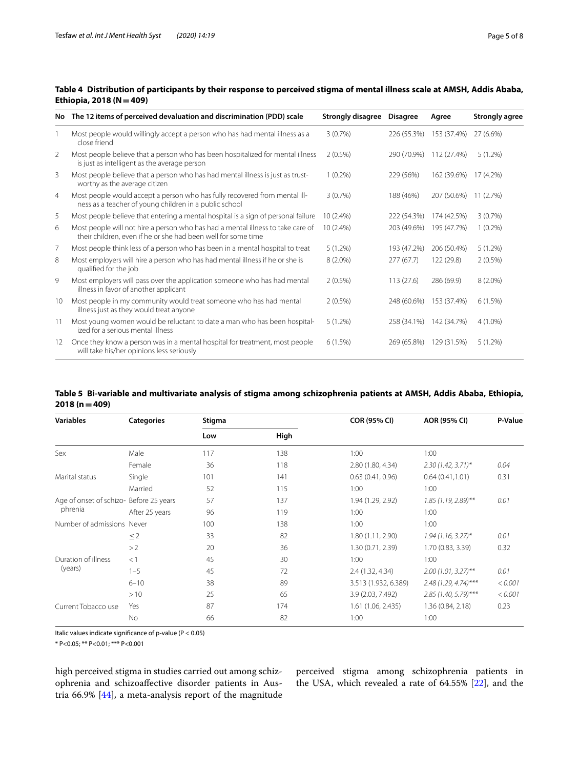## <span id="page-4-1"></span>**Table 4 Distribution of participants by their response to perceived stigma of mental illness scale at AMSH, Addis Ababa, Ethiopia, 2018 (N=409)**

| No. | The 12 items of perceived devaluation and discrimination (PDD) scale                                                                             | <b>Strongly disagree</b> | <b>Disagree</b> | Agree       | Strongly agree |
|-----|--------------------------------------------------------------------------------------------------------------------------------------------------|--------------------------|-----------------|-------------|----------------|
|     | Most people would willingly accept a person who has had mental illness as a<br>close friend                                                      | $3(0.7\%)$               | 226 (55.3%)     | 153 (37.4%) | 27 (6.6%)      |
| 2   | Most people believe that a person who has been hospitalized for mental illness<br>is just as intelligent as the average person                   | $2(0.5\%)$               | 290 (70.9%)     | 112 (27.4%) | $5(1.2\%)$     |
| 3   | Most people believe that a person who has had mental illness is just as trust-<br>worthy as the average citizen                                  | $1(0.2\%)$               | 229 (56%)       | 162 (39.6%) | 17 (4.2%)      |
| 4   | Most people would accept a person who has fully recovered from mental ill-<br>ness as a teacher of young children in a public school             | $3(0.7\%)$               | 188 (46%)       | 207 (50.6%) | 11(2.7%)       |
| 5   | Most people believe that entering a mental hospital is a sign of personal failure                                                                | $10(2.4\%)$              | 222 (54.3%)     | 174 (42.5%) | 3(0.7%)        |
| 6   | Most people will not hire a person who has had a mental illness to take care of<br>their children, even if he or she had been well for some time | 10 (2.4%)                | 203 (49.6%)     | 195 (47.7%) | $1(0.2\%)$     |
| 7   | Most people think less of a person who has been in a mental hospital to treat                                                                    | $5(1.2\%)$               | 193 (47.2%)     | 206 (50.4%) | $5(1.2\%)$     |
| 8   | Most employers will hire a person who has had mental illness if he or she is<br>qualified for the job                                            | $8(2.0\%)$               | 277(67.7)       | 122 (29.8)  | $2(0.5\%)$     |
| 9   | Most employers will pass over the application someone who has had mental<br>illness in favor of another applicant                                | $2(0.5\%)$               | 113(27.6)       | 286 (69.9)  | $8(2.0\%)$     |
| 10  | Most people in my community would treat someone who has had mental<br>illness just as they would treat anyone                                    | $2(0.5\%)$               | 248 (60.6%)     | 153 (37.4%) | 6(1.5%)        |
| 11  | Most young women would be reluctant to date a man who has been hospital-<br>ized for a serious mental illness                                    | $5(1.2\%)$               | 258 (34.1%)     | 142 (34.7%) | $4(1.0\%)$     |
| 12  | Once they know a person was in a mental hospital for treatment, most people<br>will take his/her opinions less seriously                         | 6(1.5%)                  | 269 (65.8%)     | 129 (31.5%) | $5(1.2\%)$     |

<span id="page-4-0"></span>**Table 5 Bi-variable and multivariate analysis of stigma among schizophrenia patients at AMSH, Addis Ababa, Ethiopia, 2018 (n=409)**

| <b>Variables</b>                        | Categories     | Stigma |      | <b>COR (95% CI)</b>  | AOR (95% CI)           | P-Value |
|-----------------------------------------|----------------|--------|------|----------------------|------------------------|---------|
|                                         |                | Low    | High |                      |                        |         |
| Sex                                     | Male           | 117    | 138  | 1:00                 | 1:00                   |         |
|                                         | Female         | 36     | 118  | 2.80 (1.80, 4.34)    | $2.30(1.42, 3.71)^{*}$ | 0.04    |
| Marital status                          | Single         | 101    | 141  | 0.63(0.41, 0.96)     | 0.64(0.41, 1.01)       | 0.31    |
|                                         | Married        | 52     | 115  | 1:00                 | 1:00                   |         |
| Age of onset of schizo- Before 25 years |                | 57     | 137  | 1.94 (1.29, 2.92)    | $1.85(1.19, 2.89)$ **  | 0.01    |
| phrenia                                 | After 25 years | 96     | 119  | 1:00                 | 1:00                   |         |
| Number of admissions Never              |                | 100    | 138  | 1:00                 | 1:00                   |         |
|                                         | $\leq$ 2       | 33     | 82   | 1.80(1.11, 2.90)     | $1.94(1.16, 3.27)$ *   | 0.01    |
|                                         | >2             | 20     | 36   | 1.30 (0.71, 2.39)    | 1.70 (0.83, 3.39)      | 0.32    |
| Duration of illness                     | <1             | 45     | 30   | 1:00                 | 1:00                   |         |
| (years)                                 | $1 - 5$        | 45     | 72   | 2.4 (1.32, 4.34)     | $2.00(1.01, 3.27)$ **  | 0.01    |
|                                         | $6 - 10$       | 38     | 89   | 3.513 (1.932, 6.389) | 2.48 (1.29, 4.74)***   | < 0.001 |
|                                         | >10            | 25     | 65   | 3.9 (2.03, 7.492)    | 2.85 (1.40, 5.79)***   | < 0.001 |
| Current Tobacco use                     | Yes            | 87     | 174  | 1.61 (1.06, 2.435)   | 1.36 (0.84, 2.18)      | 0.23    |
|                                         | No             | 66     | 82   | 1:00                 | 1:00                   |         |

Italic values indicate signifcance of p-value (P < 0.05)

\* P<0.05; \*\* P<0.01; \*\*\* P<0.001

high perceived stigma in studies carried out among schizophrenia and schizoafective disorder patients in Austria 66.9% [\[44](#page-7-19)], a meta-analysis report of the magnitude perceived stigma among schizophrenia patients in the USA, which revealed a rate of 64.55% [[22\]](#page-7-1), and the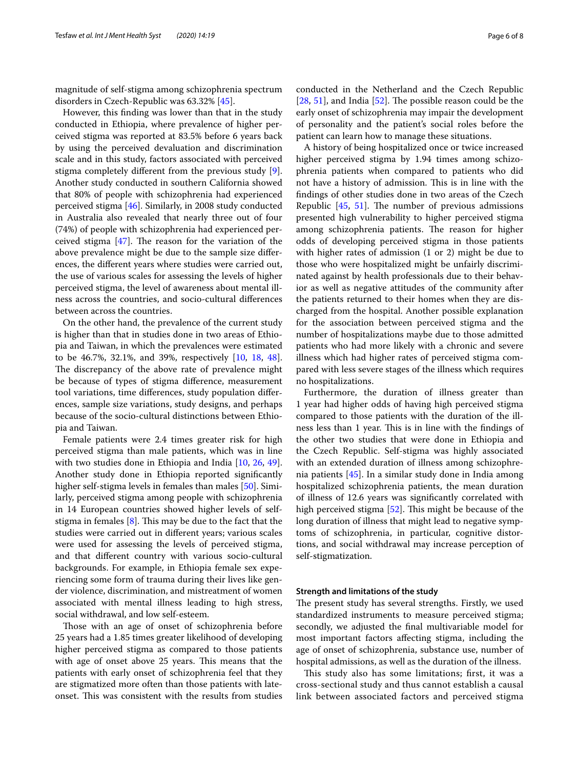magnitude of self-stigma among schizophrenia spectrum disorders in Czech-Republic was 63.32% [[45](#page-7-20)].

However, this fnding was lower than that in the study conducted in Ethiopia, where prevalence of higher perceived stigma was reported at 83.5% before 6 years back by using the perceived devaluation and discrimination scale and in this study, factors associated with perceived stigma completely diferent from the previous study [\[9](#page-6-8)]. Another study conducted in southern California showed that 80% of people with schizophrenia had experienced perceived stigma [[46](#page-7-21)]. Similarly, in 2008 study conducted in Australia also revealed that nearly three out of four (74%) of people with schizophrenia had experienced perceived stigma  $[47]$  $[47]$ . The reason for the variation of the above prevalence might be due to the sample size diferences, the diferent years where studies were carried out, the use of various scales for assessing the levels of higher perceived stigma, the level of awareness about mental illness across the countries, and socio-cultural diferences between across the countries.

On the other hand, the prevalence of the current study is higher than that in studies done in two areas of Ethiopia and Taiwan, in which the prevalences were estimated to be 46.7%, 32.1%, and 39%, respectively [[10](#page-6-9), [18,](#page-6-17) [48](#page-7-23)]. The discrepancy of the above rate of prevalence might be because of types of stigma diference, measurement tool variations, time diferences, study population diferences, sample size variations, study designs, and perhaps because of the socio-cultural distinctions between Ethiopia and Taiwan.

Female patients were 2.4 times greater risk for high perceived stigma than male patients, which was in line with two studies done in Ethiopia and India [\[10,](#page-6-9) [26](#page-7-24), [49](#page-7-25)]. Another study done in Ethiopia reported signifcantly higher self-stigma levels in females than males [[50\]](#page-7-26). Similarly, perceived stigma among people with schizophrenia in 14 European countries showed higher levels of selfstigma in females  $[8]$  $[8]$ . This may be due to the fact that the studies were carried out in diferent years; various scales were used for assessing the levels of perceived stigma, and that diferent country with various socio-cultural backgrounds. For example, in Ethiopia female sex experiencing some form of trauma during their lives like gender violence, discrimination, and mistreatment of women associated with mental illness leading to high stress, social withdrawal, and low self-esteem.

Those with an age of onset of schizophrenia before 25 years had a 1.85 times greater likelihood of developing higher perceived stigma as compared to those patients with age of onset above 25 years. This means that the patients with early onset of schizophrenia feel that they are stigmatized more often than those patients with lateonset. This was consistent with the results from studies

conducted in the Netherland and the Czech Republic  $[28, 51]$  $[28, 51]$  $[28, 51]$  $[28, 51]$ , and India  $[52]$  $[52]$ . The possible reason could be the early onset of schizophrenia may impair the development of personality and the patient's social roles before the patient can learn how to manage these situations.

A history of being hospitalized once or twice increased higher perceived stigma by 1.94 times among schizophrenia patients when compared to patients who did not have a history of admission. This is in line with the fndings of other studies done in two areas of the Czech Republic  $[45, 51]$  $[45, 51]$  $[45, 51]$ . The number of previous admissions presented high vulnerability to higher perceived stigma among schizophrenia patients. The reason for higher odds of developing perceived stigma in those patients with higher rates of admission (1 or 2) might be due to those who were hospitalized might be unfairly discriminated against by health professionals due to their behavior as well as negative attitudes of the community after the patients returned to their homes when they are discharged from the hospital. Another possible explanation for the association between perceived stigma and the number of hospitalizations maybe due to those admitted patients who had more likely with a chronic and severe illness which had higher rates of perceived stigma compared with less severe stages of the illness which requires no hospitalizations.

Furthermore, the duration of illness greater than 1 year had higher odds of having high perceived stigma compared to those patients with the duration of the illness less than 1 year. This is in line with the findings of the other two studies that were done in Ethiopia and the Czech Republic. Self-stigma was highly associated with an extended duration of illness among schizophrenia patients [[45\]](#page-7-20). In a similar study done in India among hospitalized schizophrenia patients, the mean duration of illness of 12.6 years was signifcantly correlated with high perceived stigma  $[52]$  $[52]$ . This might be because of the long duration of illness that might lead to negative symptoms of schizophrenia, in particular, cognitive distortions, and social withdrawal may increase perception of self-stigmatization.

## **Strength and limitations of the study**

The present study has several strengths. Firstly, we used standardized instruments to measure perceived stigma; secondly, we adjusted the fnal multivariable model for most important factors afecting stigma, including the age of onset of schizophrenia, substance use, number of hospital admissions, as well as the duration of the illness.

This study also has some limitations; first, it was a cross-sectional study and thus cannot establish a causal link between associated factors and perceived stigma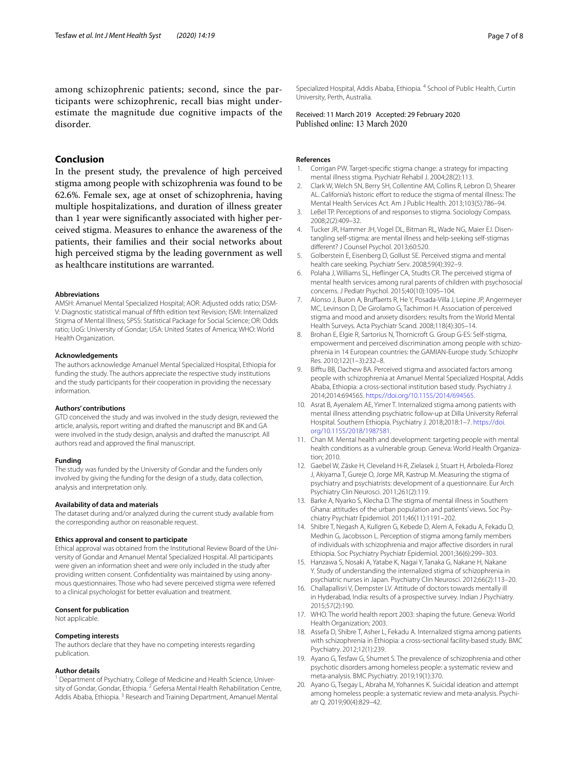among schizophrenic patients; second, since the participants were schizophrenic, recall bias might underestimate the magnitude due cognitive impacts of the disorder.

## **Conclusion**

In the present study, the prevalence of high perceived stigma among people with schizophrenia was found to be 62.6%. Female sex, age at onset of schizophrenia, having multiple hospitalizations, and duration of illness greater than 1 year were signifcantly associated with higher perceived stigma. Measures to enhance the awareness of the patients, their families and their social networks about high perceived stigma by the leading government as well as healthcare institutions are warranted.

#### **Abbreviations**

AMSH: Amanuel Mental Specialized Hospital; AOR: Adjusted odds ratio; DSM-V: Diagnostic statistical manual of ffth edition text Revision; ISMI: Internalized Stigma of Mental Illness; SPSS: Statistical Package for Social Science; OR: Odds ratio; UoG: University of Gondar; USA: United States of America; WHO: World Health Organization.

#### **Acknowledgements**

The authors acknowledge Amanuel Mental Specialized Hospital, Ethiopia for funding the study. The authors appreciate the respective study institutions and the study participants for their cooperation in providing the necessary information.

### **Authors' contributions**

GTD conceived the study and was involved in the study design, reviewed the article, analysis, report writing and drafted the manuscript and BK and GA were involved in the study design, analysis and drafted the manuscript. All authors read and approved the fnal manuscript.

#### **Funding**

The study was funded by the University of Gondar and the funders only involved by giving the funding for the design of a study, data collection, analysis and interpretation only.

#### **Availability of data and materials**

The dataset during and/or analyzed during the current study available from the corresponding author on reasonable request.

#### **Ethics approval and consent to participate**

Ethical approval was obtained from the Institutional Review Board of the University of Gondar and Amanuel Mental Specialized Hospital. All participants were given an information sheet and were only included in the study after providing written consent. Confdentiality was maintained by using anonymous questionnaires. Those who had severe perceived stigma were referred to a clinical psychologist for better evaluation and treatment.

#### **Consent for publication**

Not applicable.

## **Competing interests**

The authors declare that they have no competing interests regarding publication.

#### **Author details**

<sup>1</sup> Department of Psychiatry, College of Medicine and Health Science, University of Gondar, Gondar, Ethiopia. <sup>2</sup> Gefersa Mental Health Rehabilitation Centre, Addis Ababa, Ethiopia.<sup>3</sup> Research and Training Department, Amanuel Mental

Specialized Hospital, Addis Ababa, Ethiopia. <sup>4</sup> School of Public Health, Curtin University, Perth, Australia.

Received: 11 March 2019 Accepted: 29 February 2020<br>Published online: 13 March 2020

## **References**

- <span id="page-6-0"></span>1. Corrigan PW. Target-specifc stigma change: a strategy for impacting mental illness stigma. Psychiatr Rehabil J. 2004;28(2):113.
- <span id="page-6-1"></span>2. Clark W, Welch SN, Berry SH, Collentine AM, Collins R, Lebron D, Shearer AL. California's historic effort to reduce the stigma of mental illness: The Mental Health Services Act. Am J Public Health. 2013;103(5):786–94.
- <span id="page-6-2"></span>3. LeBel TP. Perceptions of and responses to stigma. Sociology Compass. 2008;2(2):409–32.
- <span id="page-6-3"></span>4. Tucker JR, Hammer JH, Vogel DL, Bitman RL, Wade NG, Maier EJ. Disentangling self-stigma: are mental illness and help-seeking self-stigmas diferent? J Counsel Psychol. 2013;60:520.
- <span id="page-6-4"></span>5. Golberstein E, Eisenberg D, Gollust SE. Perceived stigma and mental health care seeking. Psychiatr Serv. 2008;59(4):392–9.
- <span id="page-6-5"></span>6. Polaha J, Williams SL, Hefinger CA, Studts CR. The perceived stigma of mental health services among rural parents of children with psychosocial concerns. J Pediatr Psychol. 2015;40(10):1095–104.
- <span id="page-6-6"></span>7. Alonso J, Buron A, Brufaerts R, He Y, Posada-Villa J, Lepine JP, Angermeyer MC, Levinson D, De Girolamo G, Tachimori H. Association of perceived stigma and mood and anxiety disorders: results from the World Mental Health Surveys. Acta Psychiatr Scand. 2008;118(4):305–14.
- <span id="page-6-7"></span>8. Brohan E, Elgie R, Sartorius N, Thornicroft G. Group G-ES: Self-stigma, empowerment and perceived discrimination among people with schizophrenia in 14 European countries: the GAMIAN-Europe study. Schizophr Res. 2010;122(1–3):232–8.
- <span id="page-6-8"></span>9. Biftu BB, Dachew BA. Perceived stigma and associated factors among people with schizophrenia at Amanuel Mental Specialized Hospital, Addis Ababa, Ethiopia: a cross-sectional institution based study. Psychiatry J. 2014;2014:694565. [https://doi.org/10.1155/2014/694565.](https://doi.org/10.1155/2014/694565)
- <span id="page-6-9"></span>10. Asrat B, Ayenalem AE, Yimer T. Internalized stigma among patients with mental illness attending psychiatric follow-up at Dilla University Referral Hospital. Southern Ethiopia. Psychiatry J. 2018;2018:1–7. [https://doi.](https://doi.org/10.1155/2018/1987581) [org/10.1155/2018/1987581](https://doi.org/10.1155/2018/1987581).
- <span id="page-6-10"></span>11. Chan M. Mental health and development: targeting people with mental health conditions as a vulnerable group. Geneva: World Health Organization; 2010.
- <span id="page-6-11"></span>12. Gaebel W, Zäske H, Cleveland H-R, Zielasek J, Stuart H, Arboleda-Florez J, Akiyama T, Gureje O, Jorge MR, Kastrup M. Measuring the stigma of psychiatry and psychiatrists: development of a questionnaire. Eur Arch Psychiatry Clin Neurosci. 2011;261(2):119.
- <span id="page-6-12"></span>13. Barke A, Nyarko S, Klecha D. The stigma of mental illness in Southern Ghana: attitudes of the urban population and patients' views. Soc Psychiatry Psychiatr Epidemiol. 2011;46(11):1191–202.
- <span id="page-6-13"></span>14. Shibre T, Negash A, Kullgren G, Kebede D, Alem A, Fekadu A, Fekadu D, Medhin G, Jacobsson L. Perception of stigma among family members of individuals with schizophrenia and major afective disorders in rural Ethiopia. Soc Psychiatry Psychiatr Epidemiol. 2001;36(6):299–303.
- <span id="page-6-14"></span>15. Hanzawa S, Nosaki A, Yatabe K, Nagai Y, Tanaka G, Nakane H, Nakane Y. Study of understanding the internalized stigma of schizophrenia in psychiatric nurses in Japan. Psychiatry Clin Neurosci. 2012;66(2):113–20.
- <span id="page-6-15"></span>16. Challapallisri V, Dempster LV. Attitude of doctors towards mentally ill in Hyderabad, India: results of a prospective survey. Indian J Psychiatry. 2015;57(2):190.
- <span id="page-6-16"></span>17. WHO. The world health report 2003: shaping the future. Geneva: World Health Organization; 2003.
- <span id="page-6-17"></span>18. Assefa D, Shibre T, Asher L, Fekadu A. Internalized stigma among patients with schizophrenia in Ethiopia: a cross-sectional facility-based study. BMC Psychiatry. 2012;12(1):239.
- 19. Ayano G, Tesfaw G, Shumet S. The prevalence of schizophrenia and other psychotic disorders among homeless people: a systematic review and meta-analysis. BMC Psychiatry. 2019;19(1):370.
- <span id="page-6-18"></span>20. Ayano G, Tsegay L, Abraha M, Yohannes K. Suicidal ideation and attempt among homeless people: a systematic review and meta-analysis. Psychiatr Q. 2019;90(4):829–42.